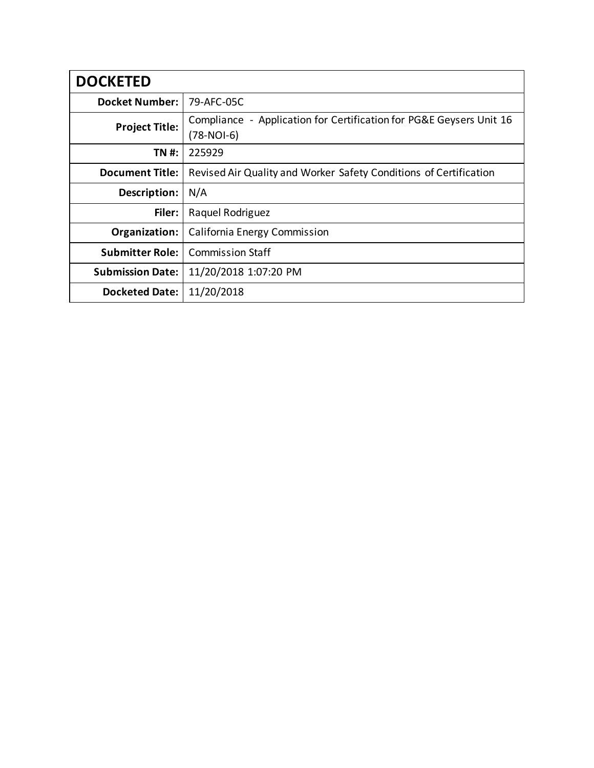| <b>DOCKETED</b>         |                                                                                   |
|-------------------------|-----------------------------------------------------------------------------------|
| <b>Docket Number:</b>   | 79-AFC-05C                                                                        |
| <b>Project Title:</b>   | Compliance - Application for Certification for PG&E Geysers Unit 16<br>(78-NOI-6) |
| TN #:                   | 225929                                                                            |
| <b>Document Title:</b>  | Revised Air Quality and Worker Safety Conditions of Certification                 |
| Description:            | N/A                                                                               |
| Filer:                  | Raquel Rodriguez                                                                  |
| Organization:           | <b>California Energy Commission</b>                                               |
| <b>Submitter Role:</b>  | <b>Commission Staff</b>                                                           |
| <b>Submission Date:</b> | 11/20/2018 1:07:20 PM                                                             |
| <b>Docketed Date:</b>   | 11/20/2018                                                                        |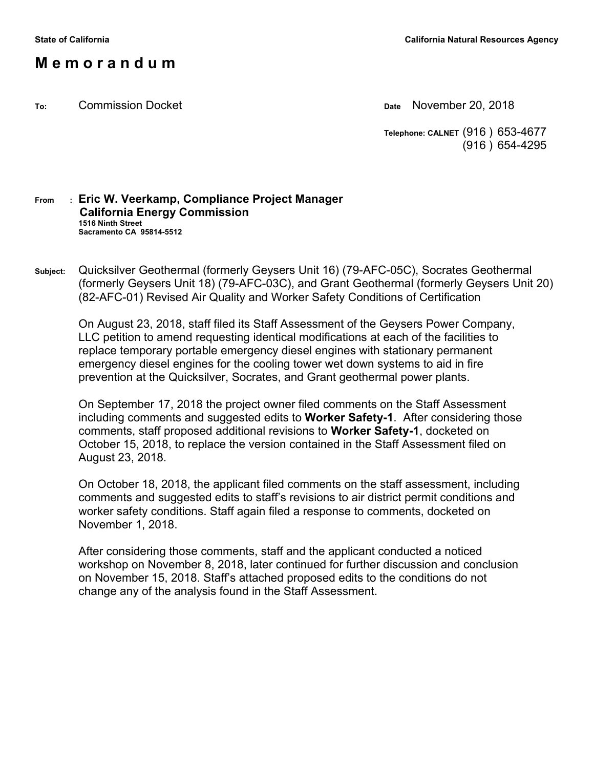## **M e m o r a n d u m**

**To:** Commission Docket **Date** November 20, 2018

**Telephone: CALNET** (916 ) 653-4677 (916 ) 654-4295

#### **From : Eric W. Veerkamp, Compliance Project Manager California Energy Commission 1516 Ninth Street Sacramento CA 95814-5512**

**Subject:** Quicksilver Geothermal (formerly Geysers Unit 16) (79-AFC-05C), Socrates Geothermal (formerly Geysers Unit 18) (79-AFC-03C), and Grant Geothermal (formerly Geysers Unit 20) (82-AFC-01) Revised Air Quality and Worker Safety Conditions of Certification

On August 23, 2018, staff filed its Staff Assessment of the Geysers Power Company, LLC petition to amend requesting identical modifications at each of the facilities to replace temporary portable emergency diesel engines with stationary permanent emergency diesel engines for the cooling tower wet down systems to aid in fire prevention at the Quicksilver, Socrates, and Grant geothermal power plants.

On September 17, 2018 the project owner filed comments on the Staff Assessment including comments and suggested edits to **Worker Safety-1**. After considering those comments, staff proposed additional revisions to **Worker Safety-1**, docketed on October 15, 2018, to replace the version contained in the Staff Assessment filed on August 23, 2018.

On October 18, 2018, the applicant filed comments on the staff assessment, including comments and suggested edits to staff's revisions to air district permit conditions and worker safety conditions. Staff again filed a response to comments, docketed on November 1, 2018.

After considering those comments, staff and the applicant conducted a noticed workshop on November 8, 2018, later continued for further discussion and conclusion on November 15, 2018. Staff's attached proposed edits to the conditions do not change any of the analysis found in the Staff Assessment.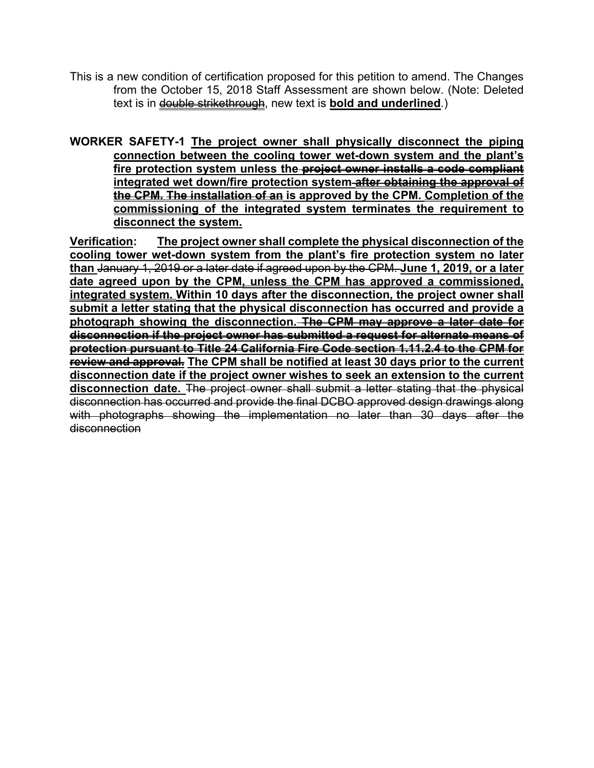This is a new condition of certification proposed for this petition to amend. The Changes from the October 15, 2018 Staff Assessment are shown below. (Note: Deleted text is in **double strikethrough**, new text is **bold and underlined**.)

**WORKER SAFETY-1 The project owner shall physically disconnect the piping connection between the cooling tower wet-down system and the plant's fire protection system unless the project owner installs a code compliant integrated wet down/fire protection system after obtaining the approval of the CPM. The installation of an is approved by the CPM. Completion of the commissioning of the integrated system terminates the requirement to disconnect the system.**

**Verification: The project owner shall complete the physical disconnection of the cooling tower wet-down system from the plant's fire protection system no later than** January 1, 2019 or a later date if agreed upon by the CPM. **June 1, 2019, or a later date agreed upon by the CPM, unless the CPM has approved a commissioned, integrated system. Within 10 days after the disconnection, the project owner shall submit a letter stating that the physical disconnection has occurred and provide a photograph showing the disconnection. The CPM may approve a later date for disconnection if the project owner has submitted a request for alternate means of protection pursuant to Title 24 California Fire Code section 1.11.2.4 to the CPM for review and approval. The CPM shall be notified at least 30 days prior to the current disconnection date if the project owner wishes to seek an extension to the current disconnection date.** The project owner shall submit a letter stating that the physical disconnection has occurred and provide the final DCBO approved design drawings along with photographs showing the implementation no later than 30 days after the disconnection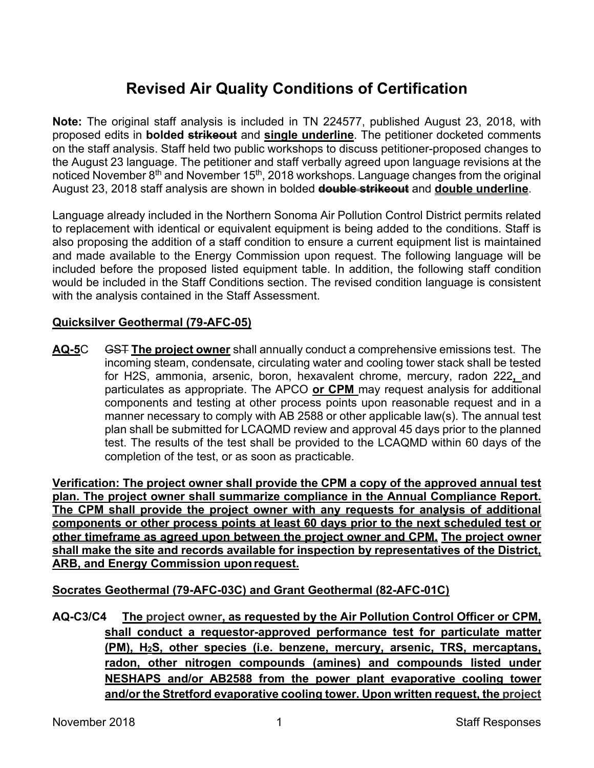# **Revised Air Quality Conditions of Certification**

**Note:** The original staff analysis is included in TN 224577, published August 23, 2018, with proposed edits in **bolded strikeout** and **single underline**. The petitioner docketed comments on the staff analysis. Staff held two public workshops to discuss petitioner-proposed changes to the August 23 language. The petitioner and staff verbally agreed upon language revisions at the noticed November 8<sup>th</sup> and November 15<sup>th</sup>, 2018 workshops. Language changes from the original August 23, 2018 staff analysis are shown in bolded **double strikeout** and **double underline**.

Language already included in the Northern Sonoma Air Pollution Control District permits related to replacement with identical or equivalent equipment is being added to the conditions. Staff is also proposing the addition of a staff condition to ensure a current equipment list is maintained and made available to the Energy Commission upon request. The following language will be included before the proposed listed equipment table. In addition, the following staff condition would be included in the Staff Conditions section. The revised condition language is consistent with the analysis contained in the Staff Assessment.

### **Quicksilver Geothermal (79-AFC-05)**

**AQ-5**C GST **The project owner** shall annually conduct a comprehensive emissions test. The incoming steam, condensate, circulating water and cooling tower stack shall be tested for H2S, ammonia, arsenic, boron, hexavalent chrome, mercury, radon 222**,** and particulates as appropriate. The APCO **or CPM** may request analysis for additional components and testing at other process points upon reasonable request and in a manner necessary to comply with AB 2588 or other applicable law(s). The annual test plan shall be submitted for LCAQMD review and approval 45 days prior to the planned test. The results of the test shall be provided to the LCAQMD within 60 days of the completion of the test, or as soon as practicable.

**Verification: The project owner shall provide the CPM a copy of the approved annual test plan. The project owner shall summarize compliance in the Annual Compliance Report. The CPM shall provide the project owner with any requests for analysis of additional components or other process points at least 60 days prior to the next scheduled test or other timeframe as agreed upon between the project owner and CPM. The project owner shall make the site and records available for inspection by representatives of the District, ARB, and Energy Commission upon request.** 

**Socrates Geothermal (79-AFC-03C) and Grant Geothermal (82-AFC-01C)** 

**AQ-C3/C4 The project owner, as requested by the Air Pollution Control Officer or CPM, shall conduct a requestor-approved performance test for particulate matter (PM), H2S, other species (i.e. benzene, mercury, arsenic, TRS, mercaptans, radon, other nitrogen compounds (amines) and compounds listed under NESHAPS and/or AB2588 from the power plant evaporative cooling tower and/or the Stretford evaporative cooling tower. Upon written request, the project**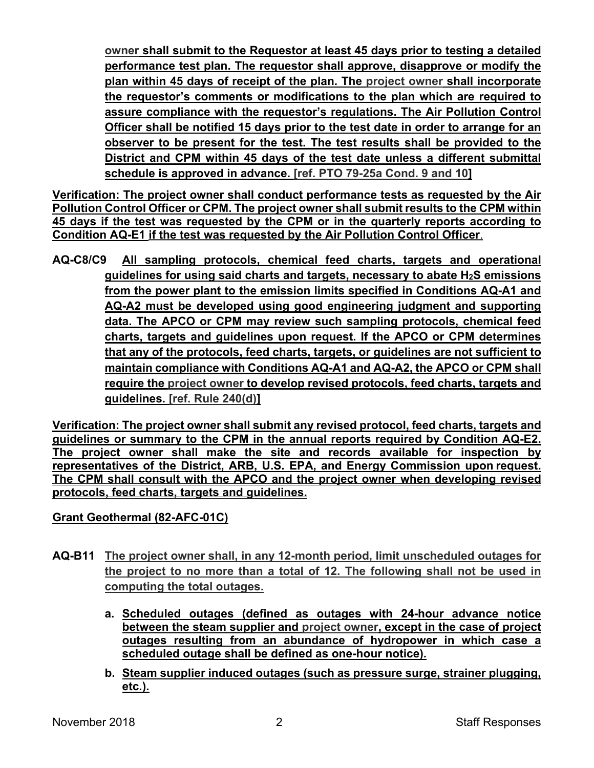**owner shall submit to the Requestor at least 45 days prior to testing a detailed performance test plan. The requestor shall approve, disapprove or modify the plan within 45 days of receipt of the plan. The project owner shall incorporate the requestor's comments or modifications to the plan which are required to assure compliance with the requestor's regulations. The Air Pollution Control Officer shall be notified 15 days prior to the test date in order to arrange for an observer to be present for the test. The test results shall be provided to the District and CPM within 45 days of the test date unless a different submittal schedule is approved in advance. [ref. PTO 79-25a Cond. 9 and 10]**

**Verification: The project owner shall conduct performance tests as requested by the Air Pollution Control Officer or CPM. The project owner shall submit results to the CPM within 45 days if the test was requested by the CPM or in the quarterly reports according to Condition AQ-E1 if the test was requested by the Air Pollution Control Officer**.

**AQ-C8/C9 All sampling protocols, chemical feed charts, targets and operational guidelines for using said charts and targets, necessary to abate H2S emissions from the power plant to the emission limits specified in Conditions AQ-A1 and AQ-A2 must be developed using good engineering judgment and supporting data. The APCO or CPM may review such sampling protocols, chemical feed charts, targets and guidelines upon request. If the APCO or CPM determines that any of the protocols, feed charts, targets, or guidelines are not sufficient to maintain compliance with Conditions AQ-A1 and AQ-A2, the APCO or CPM shall require the project owner to develop revised protocols, feed charts, targets and guidelines. [ref. Rule 240(d)]**

**Verification: The project owner shall submit any revised protocol, feed charts, targets and guidelines or summary to the CPM in the annual reports required by Condition AQ-E2. The project owner shall make the site and records available for inspection by representatives of the District, ARB, U.S. EPA, and Energy Commission upon request. The CPM shall consult with the APCO and the project owner when developing revised protocols, feed charts, targets and guidelines.** 

#### **Grant Geothermal (82-AFC-01C)**

- **AQ-B11 The project owner shall, in any 12-month period, limit unscheduled outages for the project to no more than a total of 12. The following shall not be used in computing the total outages.** 
	- **a. Scheduled outages (defined as outages with 24-hour advance notice between the steam supplier and project owner, except in the case of project outages resulting from an abundance of hydropower in which case a scheduled outage shall be defined as one-hour notice).**
	- **b. Steam supplier induced outages (such as pressure surge, strainer plugging, etc.).**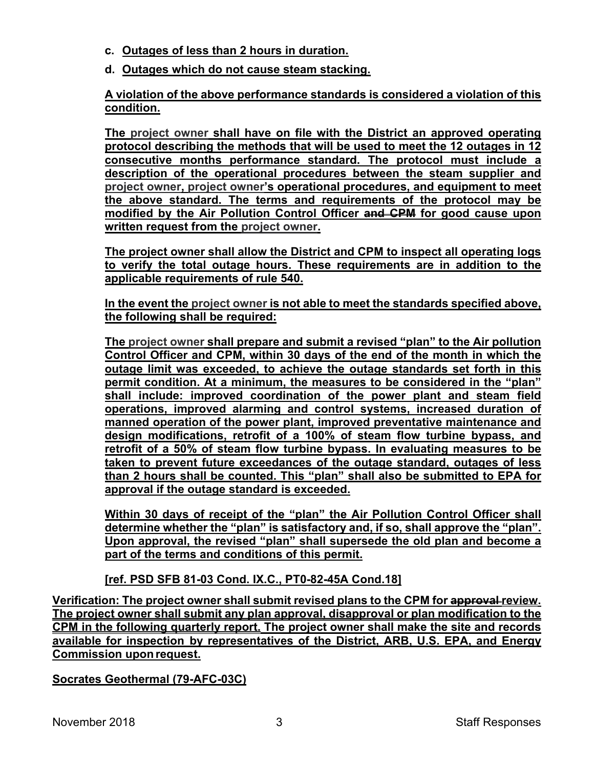- **c. Outages of less than 2 hours in duration.**
- **d. Outages which do not cause steam stacking.**

**A violation of the above performance standards is considered a violation of this condition.** 

**The project owner shall have on file with the District an approved operating protocol describing the methods that will be used to meet the 12 outages in 12 consecutive months performance standard. The protocol must include a description of the operational procedures between the steam supplier and project owner, project owner's operational procedures, and equipment to meet the above standard. The terms and requirements of the protocol may be modified by the Air Pollution Control Officer and CPM for good cause upon written request from the project owner.** 

**The project owner shall allow the District and CPM to inspect all operating logs to verify the total outage hours. These requirements are in addition to the applicable requirements of rule 540.** 

**In the event the project owner is not able to meet the standards specified above, the following shall be required:** 

**The project owner shall prepare and submit a revised "plan" to the Air pollution Control Officer and CPM, within 30 days of the end of the month in which the outage limit was exceeded, to achieve the outage standards set forth in this permit condition. At a minimum, the measures to be considered in the "plan" shall include: improved coordination of the power plant and steam field operations, improved alarming and control systems, increased duration of manned operation of the power plant, improved preventative maintenance and design modifications, retrofit of a 100% of steam flow turbine bypass, and retrofit of a 50% of steam flow turbine bypass. In evaluating measures to be taken to prevent future exceedances of the outage standard, outages of less than 2 hours shall be counted. This "plan" shall also be submitted to EPA for approval if the outage standard is exceeded.** 

**Within 30 days of receipt of the "plan" the Air Pollution Control Officer shall determine whether the "plan" is satisfactory and, if so, shall approve the "plan". Upon approval, the revised "plan" shall supersede the old plan and become a part of the terms and conditions of this permit.** 

**[ref. PSD SFB 81-03 Cond. IX.C., PT0-82-45A Cond.18]** 

Verification: The project owner shall submit revised plans to the CPM for approval review. **The project owner shall submit any plan approval, disapproval or plan modification to the CPM in the following quarterly report. The project owner shall make the site and records available for inspection by representatives of the District, ARB, U.S. EPA, and Energy Commission upon request.**

**Socrates Geothermal (79-AFC-03C)**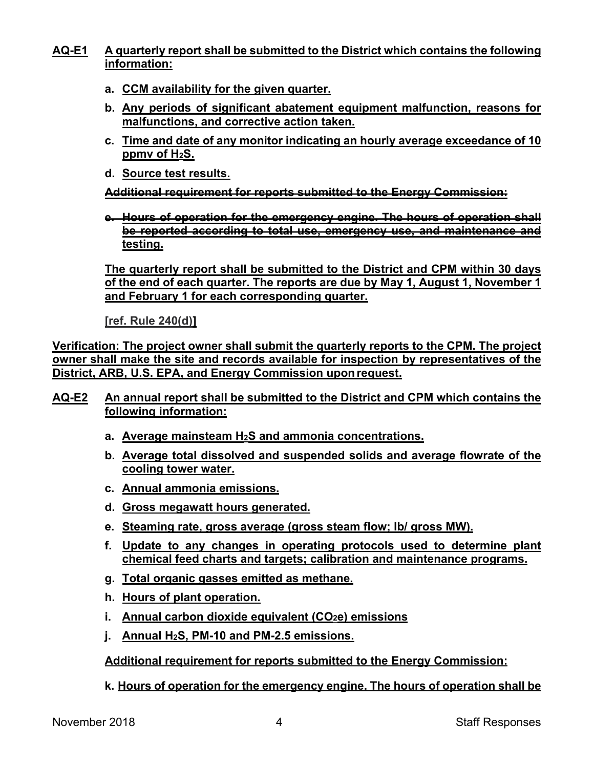#### **AQ-E1 A quarterly report shall be submitted to the District which contains the following information:**

- **a. CCM availability for the given quarter.**
- **b. Any periods of significant abatement equipment malfunction, reasons for malfunctions, and corrective action taken.**
- **c. Time and date of any monitor indicating an hourly average exceedance of 10 ppmv of H2S.**
- **d. Source test results.**

**Additional requirement for reports submitted to the Energy Commission:** 

**e. Hours of operation for the emergency engine. The hours of operation shall be reported according to total use, emergency use, and maintenance and testing.** 

**The quarterly report shall be submitted to the District and CPM within 30 days of the end of each quarter. The reports are due by May 1, August 1, November 1 and February 1 for each corresponding quarter.** 

**[ref. Rule 240(d)]**

**Verification: The project owner shall submit the quarterly reports to the CPM. The project owner shall make the site and records available for inspection by representatives of the District, ARB, U.S. EPA, and Energy Commission upon request.** 

- **AQ-E2 An annual report shall be submitted to the District and CPM which contains the following information:** 
	- **a. Average mainsteam H2S and ammonia concentrations.**
	- **b. Average total dissolved and suspended solids and average flowrate of the cooling tower water.**
	- **c. Annual ammonia emissions.**
	- **d. Gross megawatt hours generated.**
	- **e. Steaming rate, gross average (gross steam flow; lb/ gross MW).**
	- **f. Update to any changes in operating protocols used to determine plant chemical feed charts and targets; calibration and maintenance programs.**
	- **g. Total organic gasses emitted as methane.**
	- **h. Hours of plant operation.**
	- **i. Annual carbon dioxide equivalent (CO2e) emissions**
	- **j. Annual H2S, PM-10 and PM-2.5 emissions.**

**Additional requirement for reports submitted to the Energy Commission:** 

**k. Hours of operation for the emergency engine. The hours of operation shall be**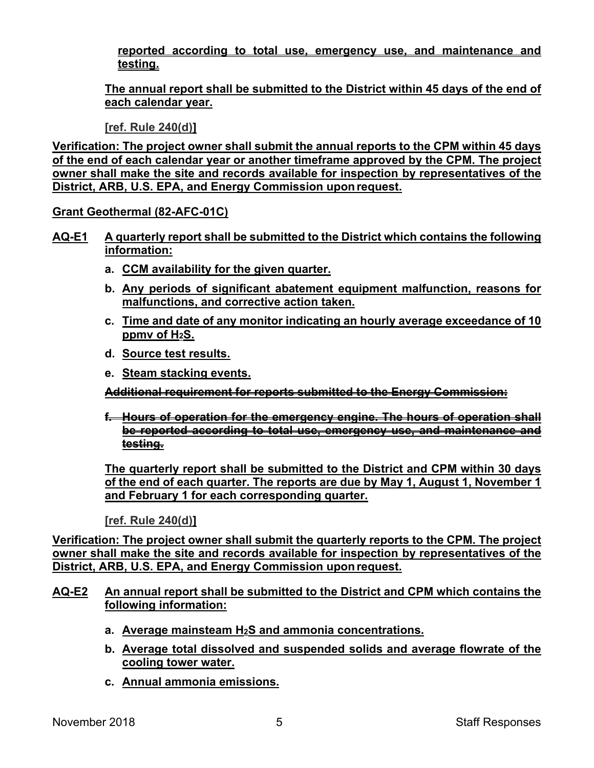**reported according to total use, emergency use, and maintenance and testing.** 

**The annual report shall be submitted to the District within 45 days of the end of each calendar year.** 

**[ref. Rule 240(d)]** 

**Verification: The project owner shall submit the annual reports to the CPM within 45 days of the end of each calendar year or another timeframe approved by the CPM. The project owner shall make the site and records available for inspection by representatives of the District, ARB, U.S. EPA, and Energy Commission upon request.** 

**Grant Geothermal (82-AFC-01C)** 

- **AQ-E1 A quarterly report shall be submitted to the District which contains the following information:** 
	- **a. CCM availability for the given quarter.**
	- **b. Any periods of significant abatement equipment malfunction, reasons for malfunctions, and corrective action taken.**
	- **c. Time and date of any monitor indicating an hourly average exceedance of 10 ppmv of H2S.**
	- **d. Source test results.**
	- **e. Steam stacking events.**

**Additional requirement for reports submitted to the Energy Commission:** 

**f. Hours of operation for the emergency engine. The hours of operation shall be reported according to total use, emergency use, and maintenance and testing.** 

**The quarterly report shall be submitted to the District and CPM within 30 days of the end of each quarter. The reports are due by May 1, August 1, November 1 and February 1 for each corresponding quarter.** 

**[ref. Rule 240(d)]**

**Verification: The project owner shall submit the quarterly reports to the CPM. The project owner shall make the site and records available for inspection by representatives of the District, ARB, U.S. EPA, and Energy Commission upon request.**

- **AQ-E2 An annual report shall be submitted to the District and CPM which contains the following information:** 
	- **a. Average mainsteam H2S and ammonia concentrations.**
	- **b. Average total dissolved and suspended solids and average flowrate of the cooling tower water.**
	- **c. Annual ammonia emissions.**